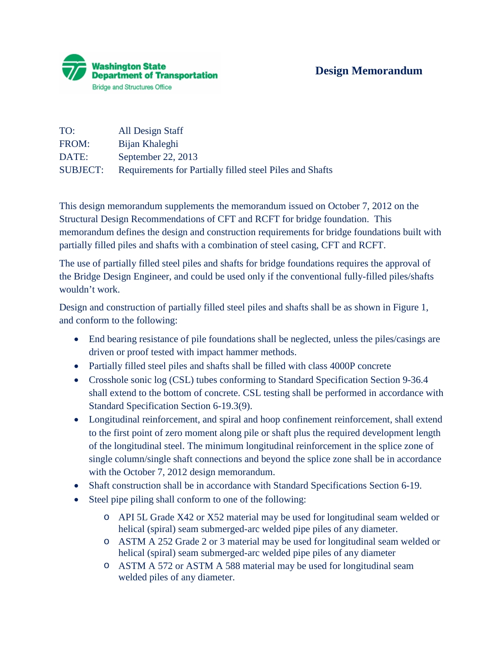

| TO:             | All Design Staff                                         |
|-----------------|----------------------------------------------------------|
| FROM:           | Bijan Khaleghi                                           |
| DATE:           | September 22, 2013                                       |
| <b>SUBJECT:</b> | Requirements for Partially filled steel Piles and Shafts |

This design memorandum supplements the memorandum issued on October 7, 2012 on the Structural Design Recommendations of CFT and RCFT for bridge foundation. This memorandum defines the design and construction requirements for bridge foundations built with partially filled piles and shafts with a combination of steel casing, CFT and RCFT.

The use of partially filled steel piles and shafts for bridge foundations requires the approval of the Bridge Design Engineer, and could be used only if the conventional fully-filled piles/shafts wouldn't work.

Design and construction of partially filled steel piles and shafts shall be as shown in Figure 1, and conform to the following:

- End bearing resistance of pile foundations shall be neglected, unless the piles/casings are driven or proof tested with impact hammer methods.
- Partially filled steel piles and shafts shall be filled with class 4000P concrete
- Crosshole sonic log (CSL) tubes conforming to Standard Specification Section 9-36.4 shall extend to the bottom of concrete. CSL testing shall be performed in accordance with Standard Specification Section 6-19.3(9).
- Longitudinal reinforcement, and spiral and hoop confinement reinforcement, shall extend to the first point of zero moment along pile or shaft plus the required development length of the longitudinal steel. The minimum longitudinal reinforcement in the splice zone of single column/single shaft connections and beyond the splice zone shall be in accordance with the October 7, 2012 design memorandum.
- Shaft construction shall be in accordance with Standard Specifications Section 6-19.
- Steel pipe piling shall conform to one of the following:
	- o API 5L Grade X42 or X52 material may be used for longitudinal seam welded or helical (spiral) seam submerged-arc welded pipe piles of any diameter.
	- o ASTM A 252 Grade 2 or 3 material may be used for longitudinal seam welded or helical (spiral) seam submerged-arc welded pipe piles of any diameter
	- o ASTM A 572 or ASTM A 588 material may be used for longitudinal seam welded piles of any diameter.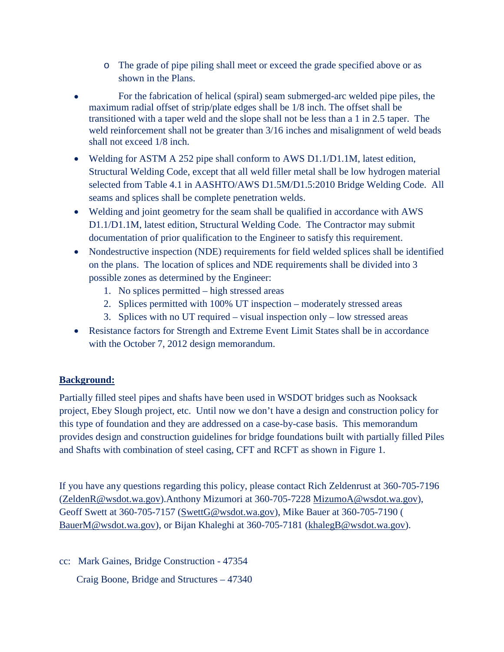- o The grade of pipe piling shall meet or exceed the grade specified above or as shown in the Plans.
- For the fabrication of helical (spiral) seam submerged-arc welded pipe piles, the maximum radial offset of strip/plate edges shall be 1/8 inch. The offset shall be transitioned with a taper weld and the slope shall not be less than a 1 in 2.5 taper. The weld reinforcement shall not be greater than  $3/16$  inches and misalignment of weld beads shall not exceed 1/8 inch.
- Welding for ASTM A 252 pipe shall conform to AWS D1.1/D1.1M, latest edition, Structural Welding Code, except that all weld filler metal shall be low hydrogen material selected from Table 4.1 in AASHTO/AWS D1.5M/D1.5:2010 Bridge Welding Code. All seams and splices shall be complete penetration welds.
- Welding and joint geometry for the seam shall be qualified in accordance with AWS D1.1/D1.1M, latest edition, Structural Welding Code. The Contractor may submit documentation of prior qualification to the Engineer to satisfy this requirement.
- Nondestructive inspection (NDE) requirements for field welded splices shall be identified on the plans. The location of splices and NDE requirements shall be divided into 3 possible zones as determined by the Engineer:
	- 1. No splices permitted high stressed areas
	- 2. Splices permitted with 100% UT inspection moderately stressed areas
	- 3. Splices with no UT required visual inspection only low stressed areas
- Resistance factors for Strength and Extreme Event Limit States shall be in accordance with the October 7, 2012 design memorandum.

## **Background:**

Partially filled steel pipes and shafts have been used in WSDOT bridges such as Nooksack project, Ebey Slough project, etc. Until now we don't have a design and construction policy for this type of foundation and they are addressed on a case-by-case basis. This memorandum provides design and construction guidelines for bridge foundations built with partially filled Piles and Shafts with combination of steel casing, CFT and RCFT as shown in Figure 1.

If you have any questions regarding this policy, please contact Rich Zeldenrust at 360-705-7196 [\(ZeldenR@wsdot.wa.gov\)](mailto:ZeldenR@wsdot.wa.gov).Anthony Mizumori at 360-705-7228 [MizumoA@wsdot.wa.gov\)](mailto:MizumoA@wsdot.wa.gov), Geoff Swett at 360-705-7157 [\(SwettG@wsdot.wa.gov\)](mailto:SwettG@wsdot.wa.gov), Mike Bauer at 360-705-7190 ( [BauerM@wsdot.wa.gov\)](mailto:BauerM@wsdot.wa.gov), or Bijan Khaleghi at 360-705-7181 [\(khalegB@wsdot.wa.gov\)](mailto:khalegB@wsdot.wa.gov).

cc: Mark Gaines, Bridge Construction - 47354

Craig Boone, Bridge and Structures – 47340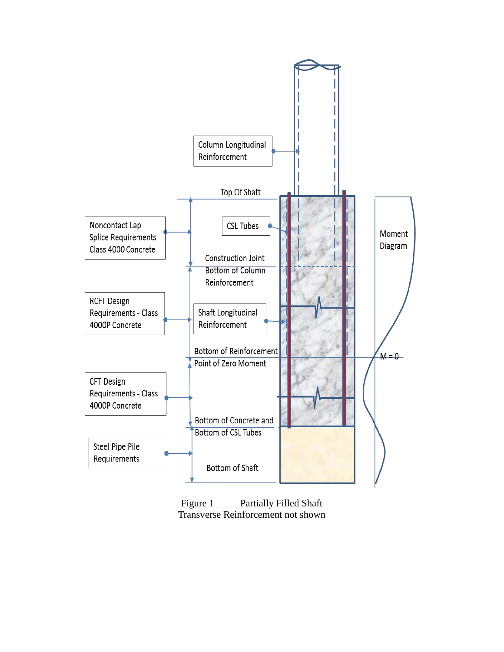

Figure 1 Partially Filled Shaft Transverse Reinforcement not shown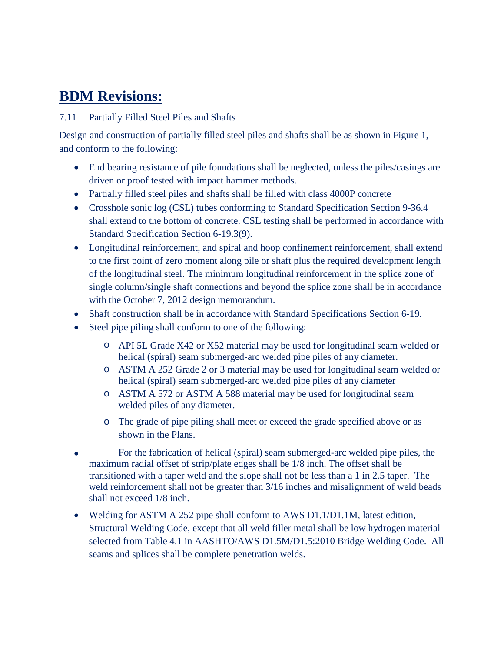## **BDM Revisions:**

## 7.11 Partially Filled Steel Piles and Shafts

Design and construction of partially filled steel piles and shafts shall be as shown in Figure 1, and conform to the following:

- End bearing resistance of pile foundations shall be neglected, unless the piles/casings are driven or proof tested with impact hammer methods.
- Partially filled steel piles and shafts shall be filled with class 4000P concrete
- Crosshole sonic log (CSL) tubes conforming to Standard Specification Section 9-36.4 shall extend to the bottom of concrete. CSL testing shall be performed in accordance with Standard Specification Section 6-19.3(9).
- Longitudinal reinforcement, and spiral and hoop confinement reinforcement, shall extend to the first point of zero moment along pile or shaft plus the required development length of the longitudinal steel. The minimum longitudinal reinforcement in the splice zone of single column/single shaft connections and beyond the splice zone shall be in accordance with the October 7, 2012 design memorandum.
- Shaft construction shall be in accordance with Standard Specifications Section 6-19.
- Steel pipe piling shall conform to one of the following:
	- o API 5L Grade X42 or X52 material may be used for longitudinal seam welded or helical (spiral) seam submerged-arc welded pipe piles of any diameter.
	- o ASTM A 252 Grade 2 or 3 material may be used for longitudinal seam welded or helical (spiral) seam submerged-arc welded pipe piles of any diameter
	- o ASTM A 572 or ASTM A 588 material may be used for longitudinal seam welded piles of any diameter.
	- o The grade of pipe piling shall meet or exceed the grade specified above or as shown in the Plans.
- For the fabrication of helical (spiral) seam submerged-arc welded pipe piles, the maximum radial offset of strip/plate edges shall be 1/8 inch. The offset shall be transitioned with a taper weld and the slope shall not be less than a 1 in 2.5 taper. The weld reinforcement shall not be greater than  $3/16$  inches and misalignment of weld beads shall not exceed 1/8 inch.
- Welding for ASTM A 252 pipe shall conform to AWS D1.1/D1.1M, latest edition, Structural Welding Code, except that all weld filler metal shall be low hydrogen material selected from Table 4.1 in AASHTO/AWS D1.5M/D1.5:2010 Bridge Welding Code. All seams and splices shall be complete penetration welds.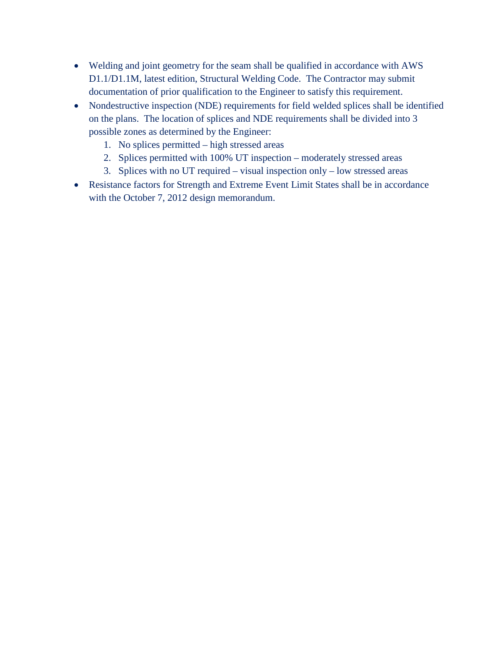- Welding and joint geometry for the seam shall be qualified in accordance with AWS D1.1/D1.1M, latest edition, Structural Welding Code. The Contractor may submit documentation of prior qualification to the Engineer to satisfy this requirement.
- Nondestructive inspection (NDE) requirements for field welded splices shall be identified on the plans. The location of splices and NDE requirements shall be divided into 3 possible zones as determined by the Engineer:
	- 1. No splices permitted high stressed areas
	- 2. Splices permitted with 100% UT inspection moderately stressed areas
	- 3. Splices with no UT required visual inspection only low stressed areas
- Resistance factors for Strength and Extreme Event Limit States shall be in accordance with the October 7, 2012 design memorandum.